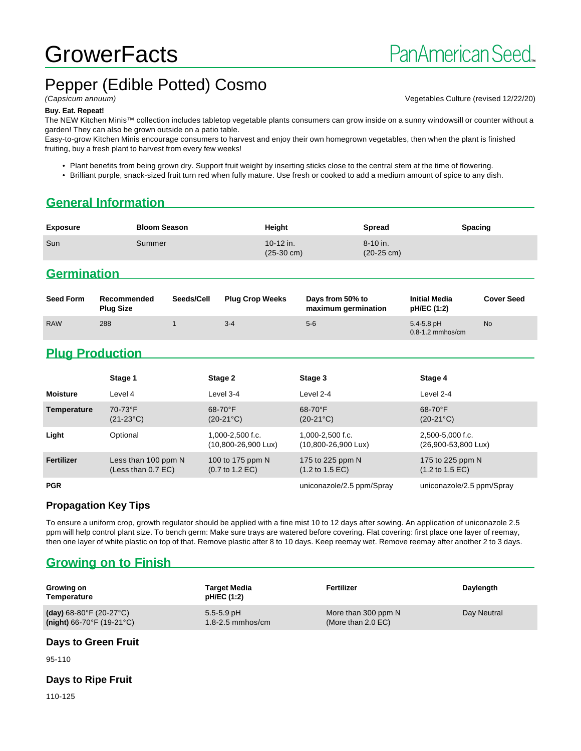# **GrowerFacts**

# Pepper (Edible Potted) Cosmo

(Capsicum annuum) Vegetables Culture (revised 12/22/20)

#### **Buy. Eat. Repeat!**

The NEW Kitchen Minis™ collection includes tabletop vegetable plants consumers can grow inside on a sunny windowsill or counter without a garden! They can also be grown outside on a patio table.

Easy-to-grow Kitchen Minis encourage consumers to harvest and enjoy their own homegrown vegetables, then when the plant is finished fruiting, buy a fresh plant to harvest from every few weeks!

- Plant benefits from being grown dry. Support fruit weight by inserting sticks close to the central stem at the time of flowering.
- Brilliant purple, snack-sized fruit turn red when fully mature. Use fresh or cooked to add a medium amount of spice to any dish.

# **General Information**

| <b>Exposure</b>                | <b>Bloom Season</b> | Height                            | <b>Spread</b>                    | Spacing |
|--------------------------------|---------------------|-----------------------------------|----------------------------------|---------|
| Sun                            | Summer              | 10-12 in.<br>$(25-30 \text{ cm})$ | 8-10 in.<br>$(20-25 \text{ cm})$ |         |
| and a construction of the con- |                     |                                   |                                  |         |

#### **Germination**

| <b>Seed Form</b> | Recommended<br><b>Plug Size</b> | Seeds/Cell | <b>Plug Crop Weeks</b> | Days from 50% to<br>maximum germination | <b>Initial Media</b><br>pH/EC (1:2)    | <b>Cover Seed</b> |
|------------------|---------------------------------|------------|------------------------|-----------------------------------------|----------------------------------------|-------------------|
| <b>RAW</b>       | 288                             |            | $3 - 4$                | $5-6$                                   | $5.4 - 5.8$ pH<br>$0.8 - 1.2$ mmhos/cm | <b>No</b>         |

# **Plug Production**

|                 | Stage 1                                     | Stage 2                                                | Stage 3                                                 | Stage 4                                                |
|-----------------|---------------------------------------------|--------------------------------------------------------|---------------------------------------------------------|--------------------------------------------------------|
| <b>Moisture</b> | Level 4                                     | Level 3-4                                              | Level 2-4                                               | Level 2-4                                              |
| Temperature     | 70-73°F<br>$(21-23°C)$                      | $68-70$ °F<br>$(20-21^{\circ}C)$                       | $68 - 70$ °F<br>$(20-21^{\circ}C)$                      | 68-70°F<br>$(20-21^{\circ}C)$                          |
| Light           | Optional                                    | 1,000-2,500 f.c.<br>(10,800-26,900 Lux)                | $1.000 - 2.500$ f.c.<br>$(10,800 - 26,900 \text{ Lux})$ | 2,500-5,000 f.c.<br>(26,900-53,800 Lux)                |
| Fertilizer      | Less than 100 ppm N<br>(Less than $0.7$ EC) | 100 to 175 ppm N<br>$(0.7 \text{ to } 1.2 \text{ EC})$ | 175 to 225 ppm N<br>$(1.2 \text{ to } 1.5 \text{ EC})$  | 175 to 225 ppm N<br>$(1.2 \text{ to } 1.5 \text{ EC})$ |
| <b>PGR</b>      |                                             |                                                        | uniconazole/2.5 ppm/Spray                               | uniconazole/2.5 ppm/Spray                              |

#### **Propagation Key Tips**

To ensure a uniform crop, growth regulator should be applied with a fine mist 10 to 12 days after sowing. An application of uniconazole 2.5 ppm will help control plant size. To bench germ: Make sure trays are watered before covering. Flat covering: first place one layer of reemay, then one layer of white plastic on top of that. Remove plastic after 8 to 10 days. Keep reemay wet. Remove reemay after another 2 to 3 days.

# **Growing on to Finish**

| Growing on<br>Temperature                    | Target Media<br>pH/EC (1:2) | Fertilizer           | Daylength   |
|----------------------------------------------|-----------------------------|----------------------|-------------|
| (day) $68-80^{\circ}$ F (20-27 $^{\circ}$ C) | $5.5 - 5.9$ pH              | More than 300 ppm N  | Day Neutral |
| $(night)$ 66-70°F (19-21°C)                  | 1.8-2.5 mmhos/cm            | (More than $2.0$ EC) |             |

#### **Days to Green Fruit**

95-110

#### **Days to Ripe Fruit**

110-125